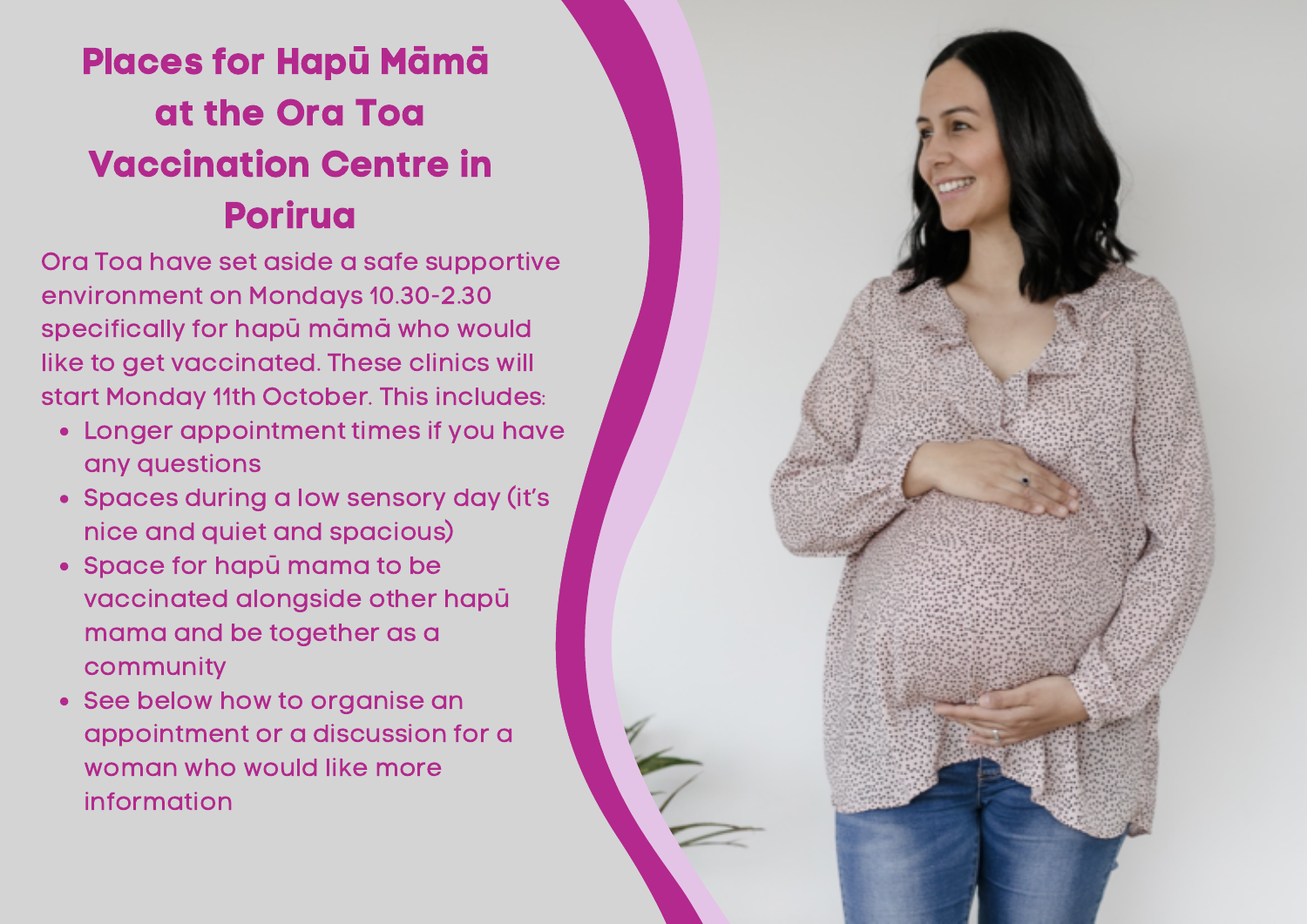## Places for Hapū Māmā at the Ora Toa Vaccination Centre in Porirua

Ora Toa have set aside a safe supportive environment on Mondays 10.30-2.30 specifically for hapū māmā who would like to get vaccinated. These clinics will start Monday 11th October. This includes:

- Longer appointment times if you have any questions
- Spaces during a low sensory day (it's nice and quiet and spacious)
- Space for hapū mama to be vaccinated alongside other hapū mama and be together as a community
- See below how to organise an appointment or a discussion for a woman who would like more information